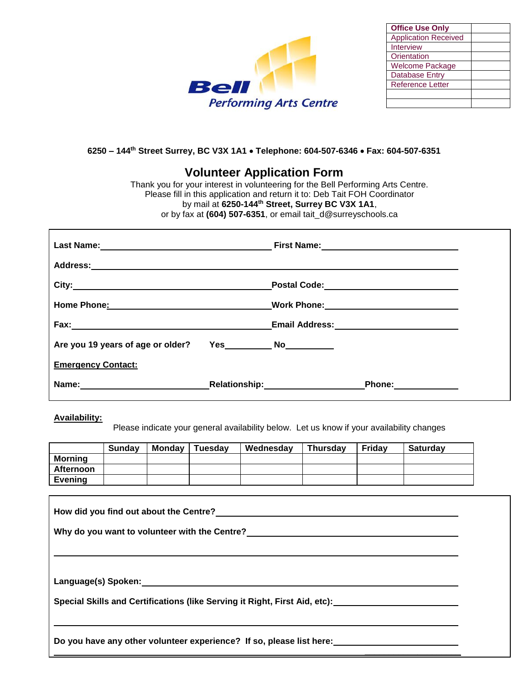

| <b>Office Use Only</b>      |  |
|-----------------------------|--|
| <b>Application Received</b> |  |
| Interview                   |  |
| Orientation                 |  |
| <b>Welcome Package</b>      |  |
| <b>Database Entry</b>       |  |
| <b>Reference Letter</b>     |  |
|                             |  |
|                             |  |

## **6250 – 144th Street Surrey, BC V3X 1A1 Telephone: 604-507-6346 Fax: 604-507-6351**

## **Volunteer Application Form**

Thank you for your interest in volunteering for the Bell Performing Arts Centre. Please fill in this application and return it to: Deb Tait FOH Coordinator by mail at **6250-144th Street, Surrey BC V3X 1A1**, or by fax at **(604) 507-6351**, or email tait\_d@surreyschools.ca

| Home Phone: 2008          | Work Phone: _______________________________              |  |
|---------------------------|----------------------------------------------------------|--|
|                           |                                                          |  |
|                           |                                                          |  |
| <b>Emergency Contact:</b> |                                                          |  |
|                           | Relationship:___________________<br>Phone: <u>______</u> |  |

## **Availability:**

Please indicate your general availability below. Let us know if your availability changes

|                  | <b>Sunday</b> | Mondav | <b>Tuesdav</b> | Wednesday | <b>Thursdav</b> | Fridav | <b>Saturdav</b> |
|------------------|---------------|--------|----------------|-----------|-----------------|--------|-----------------|
| <b>Morning</b>   |               |        |                |           |                 |        |                 |
| <b>Afternoon</b> |               |        |                |           |                 |        |                 |
| <b>Evening</b>   |               |        |                |           |                 |        |                 |

| Special Skills and Certifications (like Serving it Right, First Aid, etc):_________________________ |  |  |  |
|-----------------------------------------------------------------------------------------------------|--|--|--|
| Do you have any other volunteer experience? If so, please list here:                                |  |  |  |